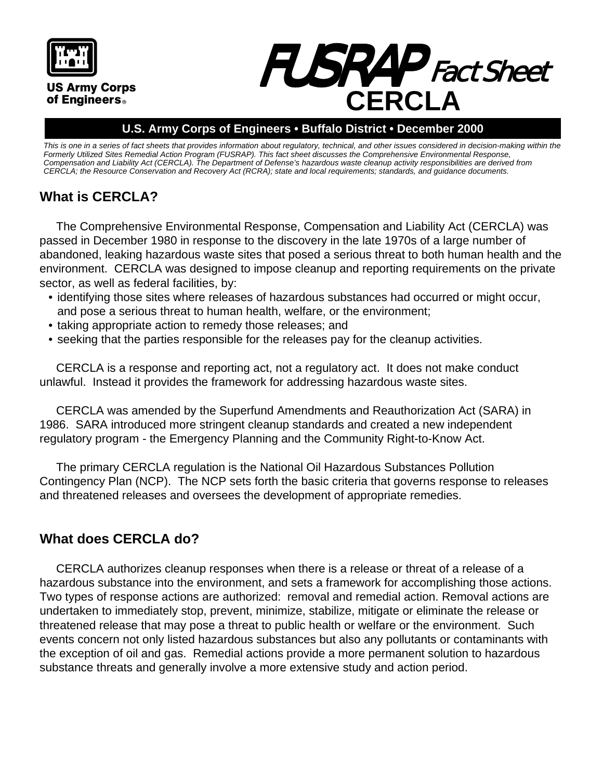

#### **U.S. Army Corps of Engineers • Buffalo District • December 2000**

This is one in a series of fact sheets that provides information about regulatory, technical, and other issues considered in decision-making within the *Formerly Utilized Sites Remedial Action Program (FUSRAP). This fact sheet discusses the Comprehensive Environmental Response, Compensation and Liability Act (CERCLA). The Department of Defense's hazardous waste cleanup activity responsibilities are derived from CERCLA; the Resource Conservation and Recovery Act (RCRA); state and local requirements; standards, and guidance documents.*

# **What is CERCLA?**

The Comprehensive Environmental Response, Compensation and Liability Act (CERCLA) was passed in December 1980 in response to the discovery in the late 1970s of a large number of abandoned, leaking hazardous waste sites that posed a serious threat to both human health and the environment. CERCLA was designed to impose cleanup and reporting requirements on the private sector, as well as federal facilities, by:

- identifying those sites where releases of hazardous substances had occurred or might occur, and pose a serious threat to human health, welfare, or the environment;
- taking appropriate action to remedy those releases; and
- seeking that the parties responsible for the releases pay for the cleanup activities.

CERCLA is a response and reporting act, not a regulatory act. It does not make conduct unlawful. Instead it provides the framework for addressing hazardous waste sites.

CERCLA was amended by the Superfund Amendments and Reauthorization Act (SARA) in 1986. SARA introduced more stringent cleanup standards and created a new independent regulatory program - the Emergency Planning and the Community Right-to-Know Act.

The primary CERCLA regulation is the National Oil Hazardous Substances Pollution Contingency Plan (NCP). The NCP sets forth the basic criteria that governs response to releases and threatened releases and oversees the development of appropriate remedies.

### **What does CERCLA do?**

CERCLA authorizes cleanup responses when there is a release or threat of a release of a hazardous substance into the environment, and sets a framework for accomplishing those actions. Two types of response actions are authorized: removal and remedial action. Removal actions are undertaken to immediately stop, prevent, minimize, stabilize, mitigate or eliminate the release or threatened release that may pose a threat to public health or welfare or the environment. Such events concern not only listed hazardous substances but also any pollutants or contaminants with the exception of oil and gas. Remedial actions provide a more permanent solution to hazardous substance threats and generally involve a more extensive study and action period.